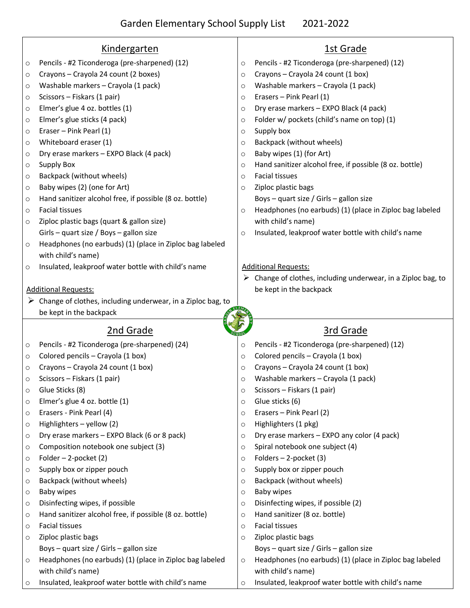|         | <u>Kindergarten</u>                                                            | <u>1st Grade</u>                                                                |
|---------|--------------------------------------------------------------------------------|---------------------------------------------------------------------------------|
| $\circ$ | Pencils - #2 Ticonderoga (pre-sharpened) (12)                                  | Pencils - #2 Ticonderoga (pre-sharpened) (12)<br>$\circ$                        |
| $\circ$ | Crayons - Crayola 24 count (2 boxes)                                           | Crayons - Crayola 24 count (1 box)<br>$\circ$                                   |
| $\circ$ | Washable markers - Crayola (1 pack)                                            | Washable markers - Crayola (1 pack)<br>$\circ$                                  |
| $\circ$ | Scissors - Fiskars (1 pair)                                                    | Erasers - Pink Pearl (1)<br>$\circ$                                             |
| $\circ$ | Elmer's glue 4 oz. bottles (1)                                                 | Dry erase markers - EXPO Black (4 pack)<br>$\circ$                              |
| $\circ$ | Elmer's glue sticks (4 pack)                                                   | Folder w/ pockets (child's name on top) (1)<br>$\circ$                          |
| $\circ$ | Eraser - Pink Pearl (1)                                                        | Supply box<br>$\circ$                                                           |
| $\circ$ | Whiteboard eraser (1)                                                          | Backpack (without wheels)<br>$\circ$                                            |
| $\circ$ | Dry erase markers - EXPO Black (4 pack)                                        | Baby wipes (1) (for Art)<br>$\circ$                                             |
| $\circ$ | <b>Supply Box</b>                                                              | Hand sanitizer alcohol free, if possible (8 oz. bottle)<br>$\circ$              |
| $\circ$ | Backpack (without wheels)                                                      | <b>Facial tissues</b><br>$\circ$                                                |
| $\circ$ | Baby wipes (2) (one for Art)                                                   | Ziploc plastic bags<br>$\circ$                                                  |
| $\circ$ | Hand sanitizer alcohol free, if possible (8 oz. bottle)                        | Boys - quart size / Girls - gallon size                                         |
| $\circ$ | <b>Facial tissues</b>                                                          | Headphones (no earbuds) (1) (place in Ziploc bag labeled<br>$\circ$             |
| $\circ$ | Ziploc plastic bags (quart & gallon size)                                      | with child's name)                                                              |
|         | Girls - quart size / Boys - gallon size                                        | Insulated, leakproof water bottle with child's name<br>$\circ$                  |
| $\circ$ | Headphones (no earbuds) (1) (place in Ziploc bag labeled                       |                                                                                 |
|         | with child's name)                                                             |                                                                                 |
| $\circ$ | Insulated, leakproof water bottle with child's name                            | <b>Additional Requests:</b>                                                     |
|         |                                                                                | $\triangleright$ Change of clothes, including underwear, in a Ziploc bag, to    |
|         | <b>Additional Requests:</b>                                                    | be kept in the backpack                                                         |
|         | $\triangleright$ Change of clothes, including underwear, in a Ziploc bag, to   |                                                                                 |
|         | be kept in the backpack                                                        |                                                                                 |
|         |                                                                                |                                                                                 |
|         |                                                                                |                                                                                 |
|         | 2nd Grade                                                                      | <b>3rd Grade</b>                                                                |
| $\circ$ | Pencils - #2 Ticonderoga (pre-sharpened) (24)                                  | Pencils - #2 Ticonderoga (pre-sharpened) (12)<br>$\circ$                        |
| $\circ$ | Colored pencils - Crayola (1 box)                                              | Colored pencils - Crayola (1 box)<br>$\circ$                                    |
| $\circ$ | Crayons - Crayola 24 count (1 box)                                             | Crayons - Crayola 24 count (1 box)<br>$\circ$                                   |
| $\circ$ | Scissors - Fiskars (1 pair)                                                    | Washable markers - Crayola (1 pack)<br>$\circ$                                  |
| $\circ$ | Glue Sticks (8)                                                                | Scissors - Fiskars (1 pair)<br>$\circ$                                          |
| $\circ$ | Elmer's glue 4 oz. bottle (1)                                                  | Glue sticks (6)<br>$\circ$                                                      |
| $\circ$ | Erasers - Pink Pearl (4)                                                       | Erasers - Pink Pearl (2)<br>$\circ$                                             |
| $\circ$ | Highlighters - yellow (2)                                                      | Highlighters (1 pkg)<br>$\circ$                                                 |
| $\circ$ | Dry erase markers - EXPO Black (6 or 8 pack)                                   | Dry erase markers - EXPO any color (4 pack)<br>$\circ$                          |
| $\circ$ | Composition notebook one subject (3)                                           | Spiral notebook one subject (4)<br>$\circ$                                      |
| $\circ$ | Folder $-2$ -pocket (2)                                                        | Folders $-2$ -pocket (3)<br>$\circ$                                             |
| $\circ$ | Supply box or zipper pouch                                                     | Supply box or zipper pouch<br>$\circ$                                           |
| $\circ$ |                                                                                | $\circ$                                                                         |
| $\circ$ | Backpack (without wheels)<br>Baby wipes                                        | Backpack (without wheels)<br><b>Baby wipes</b><br>$\circ$                       |
| $\circ$ | Disinfecting wipes, if possible                                                | $\circ$                                                                         |
| $\circ$ | Hand sanitizer alcohol free, if possible (8 oz. bottle)                        | Disinfecting wipes, if possible (2)<br>Hand sanitizer (8 oz. bottle)<br>$\circ$ |
| $\circ$ | Facial tissues                                                                 | <b>Facial tissues</b><br>$\circ$                                                |
| $\circ$ |                                                                                | $\circ$                                                                         |
|         | Ziploc plastic bags<br>Boys - quart size / Girls - gallon size                 | Ziploc plastic bags                                                             |
| $\circ$ |                                                                                | Boys - quart size / Girls - gallon size<br>$\circ$                              |
|         | Headphones (no earbuds) (1) (place in Ziploc bag labeled<br>with child's name) | Headphones (no earbuds) (1) (place in Ziploc bag labeled<br>with child's name)  |